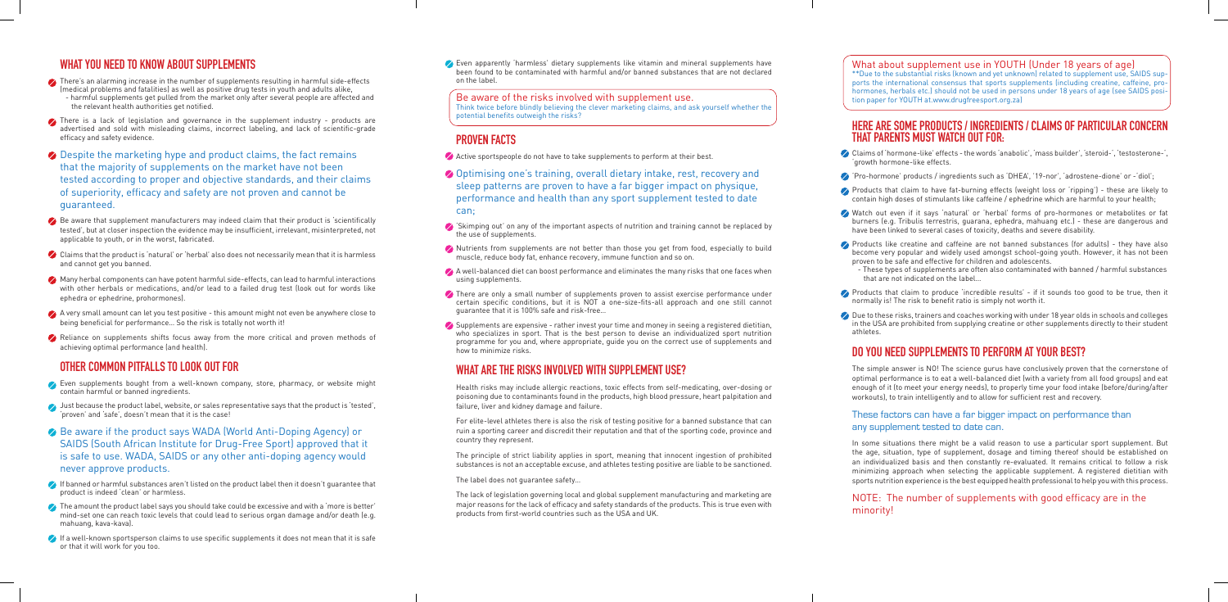## **WHAT YOU NEED TO KNOW ABOUT SUPPLEMENTS**

- There's an alarming increase in the number of supplements resulting in harmful side-effects (medical problems and fatalities) as well as positive drug tests in youth and adults alike, - harmful supplements get pulled from the market only after several people are affected and the relevant health authorities get notified.
- There is a lack of legislation and governance in the supplement industry products are advertised and sold with misleading claims, incorrect labeling, and lack of scientific-grade efficacy and safety evidence.
- **⊘** Despite the marketing hype and product claims, the fact remains that the majority of supplements on the market have not been tested according to proper and objective standards, and their claims of superiority, efficacy and safety are not proven and cannot be guaranteed.
- $\bullet$  Be aware that supplement manufacturers may indeed claim that their product is 'scientifically tested', but at closer inspection the evidence may be insufficient, irrelevant, misinterpreted, not applicable to youth, or in the worst, fabricated.
- $\bullet$  Claims that the product is 'natural' or 'herbal' also does not necessarily mean that it is harmless and cannot get you banned.
- Many herbal components can have potent harmful side-effects, can lead to harmful interactions with other herbals or medications, and/or lead to a failed drug test (look out for words like ephedra or ephedrine, prohormones).
- $\bullet$  A very small amount can let you test positive this amount might not even be anywhere close to being beneficial for performance… So the risk is totally not worth it!
- Reliance on supplements shifts focus away from the more critical and proven methods of achieving optimal performance (and health).

#### **OTHER COMMON PITFALLS TO LOOK OUT FOR**

- Active sportspeople do not have to take supplements to perform at their best.
- **⊘** Optimising one's training, overall dietary intake, rest, recovery and sleep patterns are proven to have a far bigger impact on physique, performance and health than any sport supplement tested to date can;
- 'Skimping out' on any of the important aspects of nutrition and training cannot be replaced by the use of supplements.
- Nutrients from supplements are not better than those you get from food, especially to build muscle, reduce body fat, enhance recovery, immune function and so on.
- $\blacktriangleright$  A well-balanced diet can boost performance and eliminates the many risks that one faces when using supplements.
- There are only a small number of supplements proven to assist exercise performance under certain specific conditions, but it is NOT a one-size-fits-all approach and one still cannot guarantee that it is 100% safe and risk-free…
- $\blacktriangleright$  Supplements are expensive rather invest your time and money in seeing a registered dietitian, who specializes in sport. That is the best person to devise an individualized sport nutrition programme for you and, where appropriate, guide you on the correct use of supplements and how to minimize risks.

- Even supplements bought from a well-known company, store, pharmacy, or website might contain harmful or banned ingredients.
- I ust because the product label, website, or sales representative says that the product is 'tested', 'proven' and 'safe', doesn't mean that it is the case!
- ◆ Be aware if the product says WADA (World Anti-Doping Agency) or SAIDS (South African Institute for Drug-Free Sport) approved that it is safe to use. WADA, SAIDS or any other anti-doping agency would never approve products.
- If banned or harmful substances aren't listed on the product label then it doesn't guarantee that product is indeed 'clean' or harmless.
- $\bullet$  The amount the product label says you should take could be excessive and with a 'more is better' mind-set one can reach toxic levels that could lead to serious organ damage and/or death (e.g. mahuang, kava-kava).
- If a well-known sportsperson claims to use specific supplements it does not mean that it is safe or that it will work for you too.

Even apparently 'harmless' dietary supplements like vitamin and mineral supplements have been found to be contaminated with harmful and/or banned substances that are not declared on the label.

Be aware of the risks involved with supplement use. Think twice before blindly believing the clever marketing claims, and ask yourself whether the potential benefits outweigh the risks?

## **PROVEN FACTS**

 $\curvearrowright$  Products like creatine and caffeine are not banned substances (for adults) - they have also become very popular and widely used amongst school-going youth. However, it has not been proven to be safe and effective for children and adolescents.

 $\curvearrowright$  Products that claim to produce 'incredible results' - if it sounds too good to be true, then it normally is! The risk to benefit ratio is simply not worth it.

 $\oslash$  Due to these risks, trainers and coaches working with under 18 year olds in schools and colleges in the USA are prohibited from supplying creatine or other supplements directly to their student athletes.

## **WHAT ARE THE RISKS INVOLVED WITH SUPPLEMENT USE?**

Health risks may include allergic reactions, toxic effects from self-medicating, over-dosing or poisoning due to contaminants found in the products, high blood pressure, heart palpitation and failure, liver and kidney damage and failure.

For elite-level athletes there is also the risk of testing positive for a banned substance that can ruin a sporting career and discredit their reputation and that of the sporting code, province and country they represent.

The principle of strict liability applies in sport, meaning that innocent ingestion of prohibited substances is not an acceptable excuse, and athletes testing positive are liable to be sanctioned.

The label does not guarantee safety…

The lack of legislation governing local and global supplement manufacturing and marketing are major reasons for the lack of efficacy and safety standards of the products. This is true even with products from first-world countries such as the USA and UK.

#### What about supplement use in YOUTH (Under 18 years of age)

\*\*Due to the substantial risks (known and yet unknown) related to supplement use, SAIDS supports the international consensus that sports supplements (including creatine, caffeine, prohormones, herbals etc.) should not be used in persons under 18 years of age (see SAIDS position paper for YOUTH at.www.drugfreesport.org.za)

#### **HERE ARE SOME PRODUCTS / INGREDIENTS / CLAIMS OF PARTICULAR CONCERN THAT PARENTS MUST WATCH OUT FOR:**

Claims of 'hormone-like' effects - the words 'anabolic', 'mass builder', 'steroid-', 'testosterone-', 'growth hormone-like effects.

'Pro-hormone' products / ingredients such as 'DHEA', '19-nor', 'adrostene-dione' or -'diol';

Products that claim to have fat-burning effects (weight loss or 'ripping') - these are likely to contain high doses of stimulants like caffeine / ephedrine which are harmful to your health;

Watch out even if it says 'natural' or 'herbal' forms of pro-hormones or metabolites or fat burners (e.g. Tribulis terrestris, guarana, ephedra, mahuang etc.) - these are dangerous and have been linked to several cases of toxicity, deaths and severe disability.

 - These types of supplements are often also contaminated with banned / harmful substances that are not indicated on the label…

## **DO YOU NEED SUPPLEMENTS TO PERFORM AT YOUR BEST?**

The simple answer is NO! The science gurus have conclusively proven that the cornerstone of optimal performance is to eat a well-balanced diet (with a variety from all food groups) and eat enough of it (to meet your energy needs), to properly time your food intake (before/during/after workouts), to train intelligently and to allow for sufficient rest and recovery.

#### These factors can have a far bigger impact on performance than any supplement tested to date can.

In some situations there might be a valid reason to use a particular sport supplement. But the age, situation, type of supplement, dosage and timing thereof should be established on an individualized basis and then constantly re-evaluated. It remains critical to follow a risk minimizing approach when selecting the applicable supplement. A registered dietitian with sports nutrition experience is the best equipped health professional to help you with this process.

#### NOTE: The number of supplements with good efficacy are in the minority!